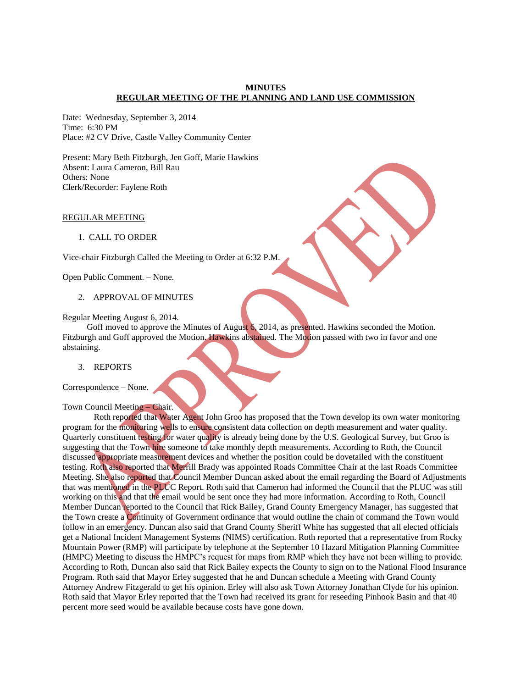#### **MINUTES REGULAR MEETING OF THE PLANNING AND LAND USE COMMISSION**

Date: Wednesday, September 3, 2014 Time: 6:30 PM Place: #2 CV Drive, Castle Valley Community Center

Present: Mary Beth Fitzburgh, Jen Goff, Marie Hawkins Absent: Laura Cameron, Bill Rau Others: None Clerk/Recorder: Faylene Roth

#### REGULAR MEETING

#### 1. CALL TO ORDER

Vice-chair Fitzburgh Called the Meeting to Order at 6:32 P.M.

Open Public Comment. – None.

# 2. APPROVAL OF MINUTES

Regular Meeting August 6, 2014.

Goff moved to approve the Minutes of August 6, 2014, as presented. Hawkins seconded the Motion. Fitzburgh and Goff approved the Motion. Hawkins abstained. The Motion passed with two in favor and one abstaining.

#### 3. REPORTS

Correspondence – None.

#### Town Council Meeting – Chair.

Roth reported that Water Agent John Groo has proposed that the Town develop its own water monitoring program for the monitoring wells to ensure consistent data collection on depth measurement and water quality. Quarterly constituent testing for water quality is already being done by the U.S. Geological Survey, but Groo is suggesting that the Town hire someone to take monthly depth measurements. According to Roth, the Council discussed appropriate measurement devices and whether the position could be dovetailed with the constituent testing. Roth also reported that Merrill Brady was appointed Roads Committee Chair at the last Roads Committee Meeting. She also reported that Council Member Duncan asked about the email regarding the Board of Adjustments that was mentioned in the PLUC Report. Roth said that Cameron had informed the Council that the PLUC was still working on this and that the email would be sent once they had more information. According to Roth, Council Member Duncan reported to the Council that Rick Bailey, Grand County Emergency Manager, has suggested that the Town create a Continuity of Government ordinance that would outline the chain of command the Town would follow in an emergency. Duncan also said that Grand County Sheriff White has suggested that all elected officials get a National Incident Management Systems (NIMS) certification. Roth reported that a representative from Rocky Mountain Power (RMP) will participate by telephone at the September 10 Hazard Mitigation Planning Committee (HMPC) Meeting to discuss the HMPC's request for maps from RMP which they have not been willing to provide. According to Roth, Duncan also said that Rick Bailey expects the County to sign on to the National Flood Insurance Program. Roth said that Mayor Erley suggested that he and Duncan schedule a Meeting with Grand County Attorney Andrew Fitzgerald to get his opinion. Erley will also ask Town Attorney Jonathan Clyde for his opinion. Roth said that Mayor Erley reported that the Town had received its grant for reseeding Pinhook Basin and that 40 percent more seed would be available because costs have gone down.